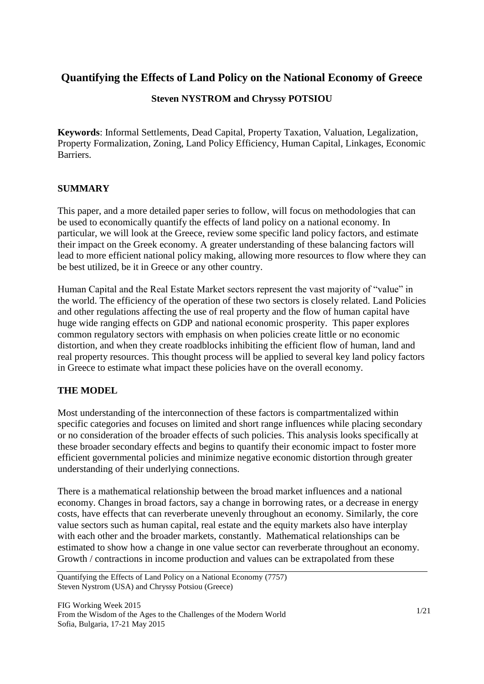### **Quantifying the Effects of Land Policy on the National Economy of Greece**

#### **Steven NYSTROM and Chryssy POTSIOU**

**Keywords**: Informal Settlements, Dead Capital, Property Taxation, Valuation, Legalization, Property Formalization, Zoning, Land Policy Efficiency, Human Capital, Linkages, Economic Barriers.

#### **SUMMARY**

This paper, and a more detailed paper series to follow, will focus on methodologies that can be used to economically quantify the effects of land policy on a national economy. In particular, we will look at the Greece, review some specific land policy factors, and estimate their impact on the Greek economy. A greater understanding of these balancing factors will lead to more efficient national policy making, allowing more resources to flow where they can be best utilized, be it in Greece or any other country.

Human Capital and the Real Estate Market sectors represent the vast majority of "value" in the world. The efficiency of the operation of these two sectors is closely related. Land Policies and other regulations affecting the use of real property and the flow of human capital have huge wide ranging effects on GDP and national economic prosperity. This paper explores common regulatory sectors with emphasis on when policies create little or no economic distortion, and when they create roadblocks inhibiting the efficient flow of human, land and real property resources. This thought process will be applied to several key land policy factors in Greece to estimate what impact these policies have on the overall economy.

#### **THE MODEL**

Most understanding of the interconnection of these factors is compartmentalized within specific categories and focuses on limited and short range influences while placing secondary or no consideration of the broader effects of such policies. This analysis looks specifically at these broader secondary effects and begins to quantify their economic impact to foster more efficient governmental policies and minimize negative economic distortion through greater understanding of their underlying connections.

There is a mathematical relationship between the broad market influences and a national economy. Changes in broad factors, say a change in borrowing rates, or a decrease in energy costs, have effects that can reverberate unevenly throughout an economy. Similarly, the core value sectors such as human capital, real estate and the equity markets also have interplay with each other and the broader markets, constantly. Mathematical relationships can be estimated to show how a change in one value sector can reverberate throughout an economy. Growth / contractions in income production and values can be extrapolated from these

Quantifying the Effects of Land Policy on a National Economy (7757) Steven Nystrom (USA) and Chryssy Potsiou (Greece)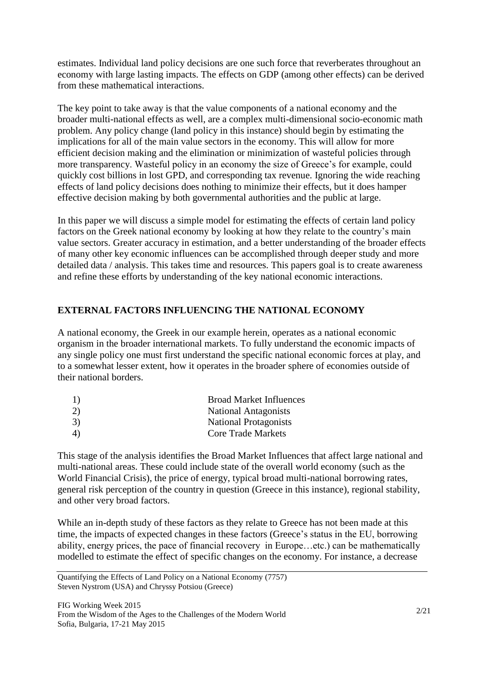estimates. Individual land policy decisions are one such force that reverberates throughout an economy with large lasting impacts. The effects on GDP (among other effects) can be derived from these mathematical interactions.

The key point to take away is that the value components of a national economy and the broader multi-national effects as well, are a complex multi-dimensional socio-economic math problem. Any policy change (land policy in this instance) should begin by estimating the implications for all of the main value sectors in the economy. This will allow for more efficient decision making and the elimination or minimization of wasteful policies through more transparency. Wasteful policy in an economy the size of Greece's for example, could quickly cost billions in lost GPD, and corresponding tax revenue. Ignoring the wide reaching effects of land policy decisions does nothing to minimize their effects, but it does hamper effective decision making by both governmental authorities and the public at large.

In this paper we will discuss a simple model for estimating the effects of certain land policy factors on the Greek national economy by looking at how they relate to the country's main value sectors. Greater accuracy in estimation, and a better understanding of the broader effects of many other key economic influences can be accomplished through deeper study and more detailed data / analysis. This takes time and resources. This papers goal is to create awareness and refine these efforts by understanding of the key national economic interactions.

#### **EXTERNAL FACTORS INFLUENCING THE NATIONAL ECONOMY**

A national economy, the Greek in our example herein, operates as a national economic organism in the broader international markets. To fully understand the economic impacts of any single policy one must first understand the specific national economic forces at play, and to a somewhat lesser extent, how it operates in the broader sphere of economies outside of their national borders.

| 1) | <b>Broad Market Influences</b> |
|----|--------------------------------|
| 2) | <b>National Antagonists</b>    |
| 3) | <b>National Protagonists</b>   |
| 4) | <b>Core Trade Markets</b>      |
|    |                                |

This stage of the analysis identifies the Broad Market Influences that affect large national and multi-national areas. These could include state of the overall world economy (such as the World Financial Crisis), the price of energy, typical broad multi-national borrowing rates, general risk perception of the country in question (Greece in this instance), regional stability, and other very broad factors.

While an in-depth study of these factors as they relate to Greece has not been made at this time, the impacts of expected changes in these factors (Greece's status in the EU, borrowing ability, energy prices, the pace of financial recovery in Europe…etc.) can be mathematically modelled to estimate the effect of specific changes on the economy. For instance, a decrease

Quantifying the Effects of Land Policy on a National Economy (7757) Steven Nystrom (USA) and Chryssy Potsiou (Greece)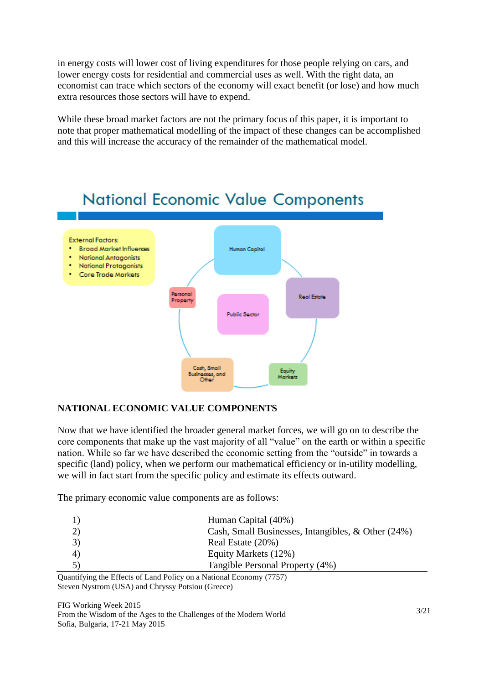in energy costs will lower cost of living expenditures for those people relying on cars, and lower energy costs for residential and commercial uses as well. With the right data, an economist can trace which sectors of the economy will exact benefit (or lose) and how much extra resources those sectors will have to expend.

While these broad market factors are not the primary focus of this paper, it is important to note that proper mathematical modelling of the impact of these changes can be accomplished and this will increase the accuracy of the remainder of the mathematical model.



# **National Economic Value Components**

### **NATIONAL ECONOMIC VALUE COMPONENTS**

Now that we have identified the broader general market forces, we will go on to describe the core components that make up the vast majority of all "value" on the earth or within a specific nation. While so far we have described the economic setting from the "outside" in towards a specific (land) policy, when we perform our mathematical efficiency or in-utility modelling, we will in fact start from the specific policy and estimate its effects outward.

The primary economic value components are as follows:

|   | Human Capital (40%)                                |
|---|----------------------------------------------------|
|   | Cash, Small Businesses, Intangibles, & Other (24%) |
|   | Real Estate (20%)                                  |
| 4 | Equity Markets (12%)                               |
|   | Tangible Personal Property (4%)                    |
|   |                                                    |

Quantifying the Effects of Land Policy on a National Economy (7757) Steven Nystrom (USA) and Chryssy Potsiou (Greece)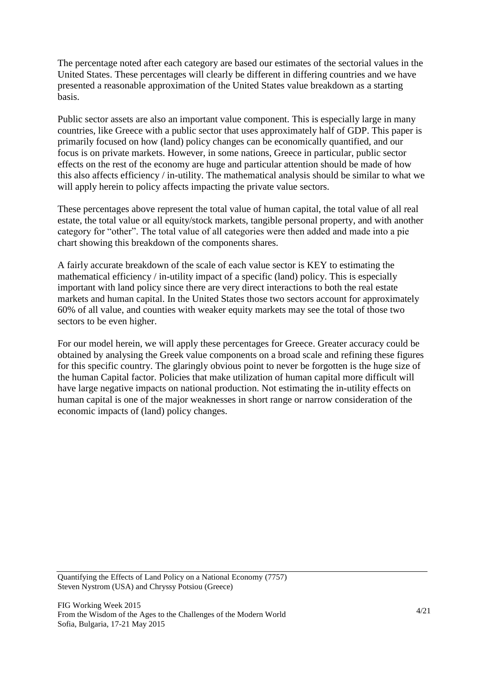The percentage noted after each category are based our estimates of the sectorial values in the United States. These percentages will clearly be different in differing countries and we have presented a reasonable approximation of the United States value breakdown as a starting basis.

Public sector assets are also an important value component. This is especially large in many countries, like Greece with a public sector that uses approximately half of GDP. This paper is primarily focused on how (land) policy changes can be economically quantified, and our focus is on private markets. However, in some nations, Greece in particular, public sector effects on the rest of the economy are huge and particular attention should be made of how this also affects efficiency / in-utility. The mathematical analysis should be similar to what we will apply herein to policy affects impacting the private value sectors.

These percentages above represent the total value of human capital, the total value of all real estate, the total value or all equity/stock markets, tangible personal property, and with another category for "other". The total value of all categories were then added and made into a pie chart showing this breakdown of the components shares.

A fairly accurate breakdown of the scale of each value sector is KEY to estimating the mathematical efficiency / in-utility impact of a specific (land) policy. This is especially important with land policy since there are very direct interactions to both the real estate markets and human capital. In the United States those two sectors account for approximately 60% of all value, and counties with weaker equity markets may see the total of those two sectors to be even higher.

For our model herein, we will apply these percentages for Greece. Greater accuracy could be obtained by analysing the Greek value components on a broad scale and refining these figures for this specific country. The glaringly obvious point to never be forgotten is the huge size of the human Capital factor. Policies that make utilization of human capital more difficult will have large negative impacts on national production. Not estimating the in-utility effects on human capital is one of the major weaknesses in short range or narrow consideration of the economic impacts of (land) policy changes.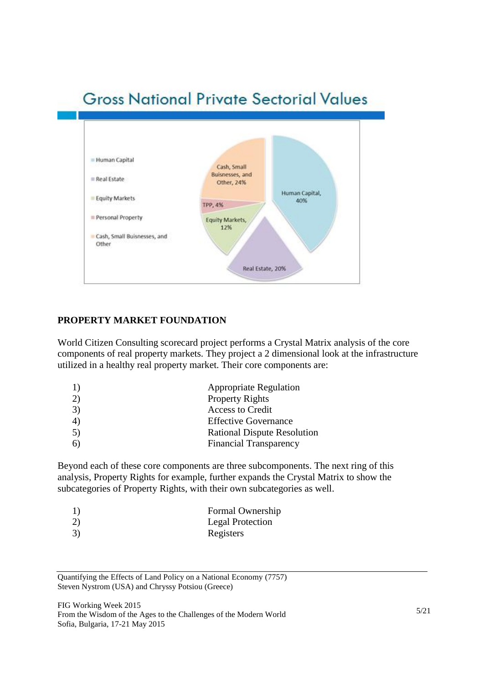# **Gross National Private Sectorial Values**



#### **PROPERTY MARKET FOUNDATION**

World Citizen Consulting scorecard project performs a Crystal Matrix analysis of the core components of real property markets. They project a 2 dimensional look at the infrastructure utilized in a healthy real property market. Their core components are:

| 1) | <b>Appropriate Regulation</b>      |
|----|------------------------------------|
| 2) | <b>Property Rights</b>             |
| 3) | <b>Access to Credit</b>            |
| 4) | <b>Effective Governance</b>        |
| 5) | <b>Rational Dispute Resolution</b> |
| 6) | <b>Financial Transparency</b>      |
|    |                                    |

Beyond each of these core components are three subcomponents. The next ring of this analysis, Property Rights for example, further expands the Crystal Matrix to show the subcategories of Property Rights, with their own subcategories as well.

| 1) | Formal Ownership |
|----|------------------|
| 2) | Legal Protection |
| 3) | Registers        |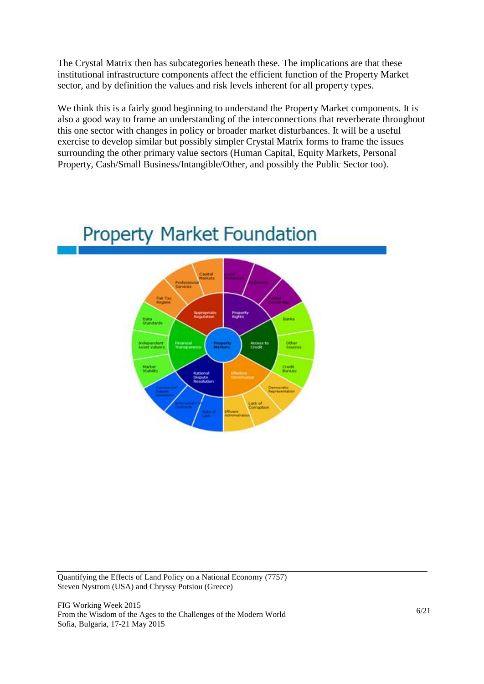The Crystal Matrix then has subcategories beneath these. The implications are that these institutional infrastructure components affect the efficient function of the Property Market sector, and by definition the values and risk levels inherent for all property types.

We think this is a fairly good beginning to understand the Property Market components. It is also a good way to frame an understanding of the interconnections that reverberate throughout this one sector with changes in policy or broader market disturbances. It will be a useful exercise to develop similar but possibly simpler Crystal Matrix forms to frame the issues surrounding the other primary value sectors (Human Capital, Equity Markets, Personal Property, Cash/Small Business/Intangible/Other, and possibly the Public Sector too).



# **Property Market Foundation**

Quantifying the Effects of Land Policy on a National Economy (7757) Steven Nystrom (USA) and Chryssy Potsiou (Greece)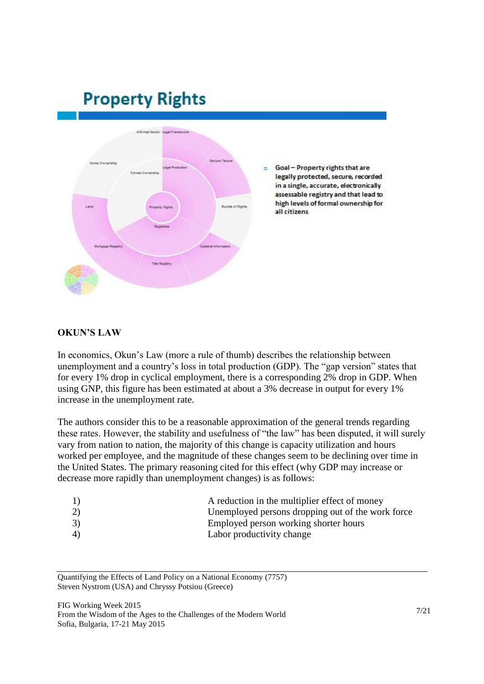# **Property Rights**



#### **OKUN'S LAW**

In economics, Okun's Law (more a rule of thumb) describes the relationship between unemployment and a country's loss in total production (GDP). The "gap version" states that for every 1% drop in cyclical employment, there is a corresponding 2% drop in GDP. When using GNP, this figure has been estimated at about a 3% decrease in output for every 1% increase in the unemployment rate.

The authors consider this to be a reasonable approximation of the general trends regarding these rates. However, the stability and usefulness of "the law" has been disputed, it will surely vary from nation to nation, the majority of this change is capacity utilization and hours worked per employee, and the magnitude of these changes seem to be declining over time in the United States. The primary reasoning cited for this effect (why GDP may increase or decrease more rapidly than unemployment changes) is as follows:

| 1) | A reduction in the multiplier effect of money     |
|----|---------------------------------------------------|
| 2) | Unemployed persons dropping out of the work force |
| 3) | Employed person working shorter hours             |
| 4) | Labor productivity change                         |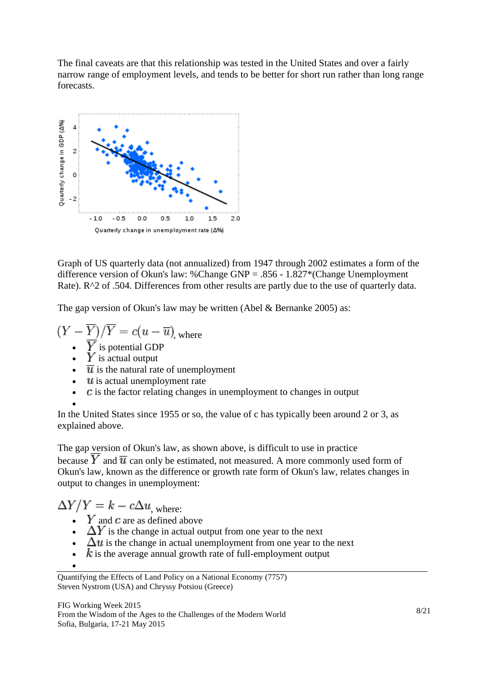The final caveats are that this relationship was tested in the United States and over a fairly narrow range of employment levels, and tends to be better for short run rather than long range forecasts.



Graph of US quarterly data (not annualized) from 1947 through 2002 estimates a form of the difference version of Okun's law: %Change GNP = .856 - 1.827\*(Change Unemployment Rate). R^2 of .504. Differences from other results are partly due to the use of quarterly data.

The gap version of Okun's law may be written (Abel & Bernanke 2005) as:

$$
(Y - \overline{Y})/\overline{Y} = c(u - \overline{u})
$$
, where

- $Y$  is potential GDP
- $Y$  is actual output
- $\overline{u}$  is the natural rate of unemployment
- $\bullet$   $\mathcal U$  is actual unemployment rate
- $\bullet$   $\cdot$   $\cdot$   $\cdot$   $\cdot$  is the factor relating changes in unemployment to changes in output

In the United States since 1955 or so, the value of c has typically been around 2 or 3, as explained above.

The gap version of Okun's law, as shown above, is difficult to use in practice because  $\overline{Y}$  and  $\overline{u}$  can only be estimated, not measured. A more commonly used form of Okun's law, known as the difference or growth rate form of Okun's law, relates changes in output to changes in unemployment:

 $\Delta Y/Y = k - c\Delta u$ , where:

- $Y$  and  $c$  are as defined above
- $\Delta Y$  is the change in actual output from one year to the next
- $\Delta u$  is the change in actual unemployment from one year to the next
- $\boldsymbol{k}$  is the average annual growth rate of full-employment output
- $\bullet$

 $\bullet$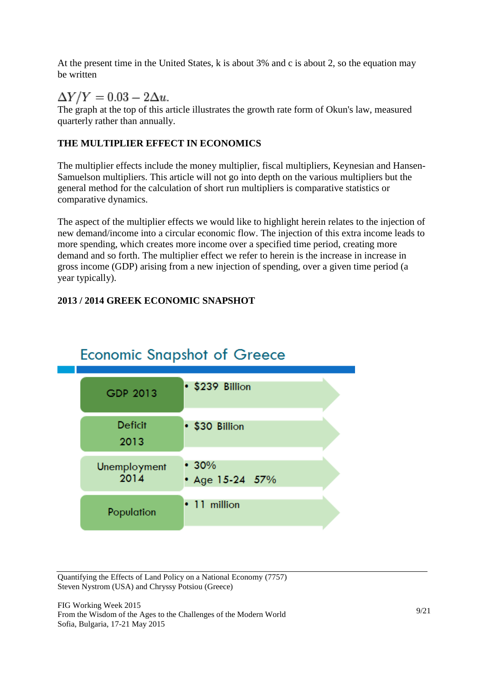At the present time in the United States, k is about 3% and c is about 2, so the equation may be written

 $\Delta Y/Y = 0.03 - 2\Delta u.$ 

The graph at the top of this article illustrates the growth rate form of Okun's law, measured quarterly rather than annually.

### **THE MULTIPLIER EFFECT IN ECONOMICS**

The multiplier effects include the money multiplier, fiscal multipliers, Keynesian and Hansen-Samuelson multipliers. This article will not go into depth on the various multipliers but the general method for the calculation of short run multipliers is comparative statistics or comparative dynamics.

The aspect of the multiplier effects we would like to highlight herein relates to the injection of new demand/income into a circular economic flow. The injection of this extra income leads to more spending, which creates more income over a specified time period, creating more demand and so forth. The multiplier effect we refer to herein is the increase in increase in gross income (GDP) arising from a new injection of spending, over a given time period (a year typically).

### **2013 / 2014 GREEK ECONOMIC SNAPSHOT**



## **Economic Snapshot of Greece**

Quantifying the Effects of Land Policy on a National Economy (7757) Steven Nystrom (USA) and Chryssy Potsiou (Greece)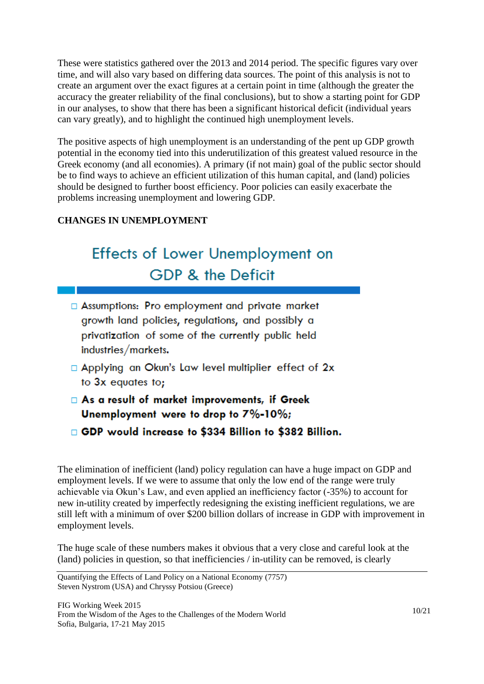These were statistics gathered over the 2013 and 2014 period. The specific figures vary over time, and will also vary based on differing data sources. The point of this analysis is not to create an argument over the exact figures at a certain point in time (although the greater the accuracy the greater reliability of the final conclusions), but to show a starting point for GDP in our analyses, to show that there has been a significant historical deficit (individual years can vary greatly), and to highlight the continued high unemployment levels.

The positive aspects of high unemployment is an understanding of the pent up GDP growth potential in the economy tied into this underutilization of this greatest valued resource in the Greek economy (and all economies). A primary (if not main) goal of the public sector should be to find ways to achieve an efficient utilization of this human capital, and (land) policies should be designed to further boost efficiency. Poor policies can easily exacerbate the problems increasing unemployment and lowering GDP.

### **CHANGES IN UNEMPLOYMENT**

# **Effects of Lower Unemployment on GDP & the Deficit**

- □ Assumptions: Pro employment and private market growth land policies, regulations, and possibly a privatization of some of the currently public held industries/markets.
- □ Applying an Okun's Law level multiplier effect of 2x to 3x equates to;
- As a result of market improvements, if Greek Unemployment were to drop to 7%-10%;
- □ GDP would increase to \$334 Billion to \$382 Billion.

The elimination of inefficient (land) policy regulation can have a huge impact on GDP and employment levels. If we were to assume that only the low end of the range were truly achievable via Okun's Law, and even applied an inefficiency factor (-35%) to account for new in-utility created by imperfectly redesigning the existing inefficient regulations, we are still left with a minimum of over \$200 billion dollars of increase in GDP with improvement in employment levels.

The huge scale of these numbers makes it obvious that a very close and careful look at the (land) policies in question, so that inefficiencies / in-utility can be removed, is clearly

Quantifying the Effects of Land Policy on a National Economy (7757) Steven Nystrom (USA) and Chryssy Potsiou (Greece)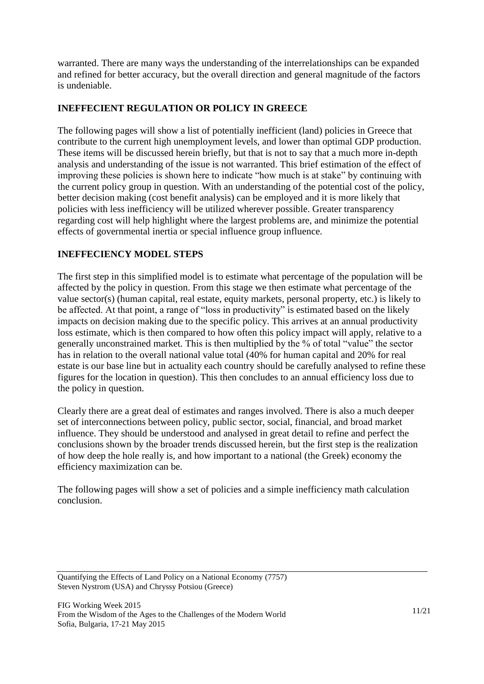warranted. There are many ways the understanding of the interrelationships can be expanded and refined for better accuracy, but the overall direction and general magnitude of the factors is undeniable.

#### **INEFFECIENT REGULATION OR POLICY IN GREECE**

The following pages will show a list of potentially inefficient (land) policies in Greece that contribute to the current high unemployment levels, and lower than optimal GDP production. These items will be discussed herein briefly, but that is not to say that a much more in-depth analysis and understanding of the issue is not warranted. This brief estimation of the effect of improving these policies is shown here to indicate "how much is at stake" by continuing with the current policy group in question. With an understanding of the potential cost of the policy, better decision making (cost benefit analysis) can be employed and it is more likely that policies with less inefficiency will be utilized wherever possible. Greater transparency regarding cost will help highlight where the largest problems are, and minimize the potential effects of governmental inertia or special influence group influence.

#### **INEFFECIENCY MODEL STEPS**

The first step in this simplified model is to estimate what percentage of the population will be affected by the policy in question. From this stage we then estimate what percentage of the value sector(s) (human capital, real estate, equity markets, personal property, etc.) is likely to be affected. At that point, a range of "loss in productivity" is estimated based on the likely impacts on decision making due to the specific policy. This arrives at an annual productivity loss estimate, which is then compared to how often this policy impact will apply, relative to a generally unconstrained market. This is then multiplied by the % of total "value" the sector has in relation to the overall national value total (40% for human capital and 20% for real estate is our base line but in actuality each country should be carefully analysed to refine these figures for the location in question). This then concludes to an annual efficiency loss due to the policy in question.

Clearly there are a great deal of estimates and ranges involved. There is also a much deeper set of interconnections between policy, public sector, social, financial, and broad market influence. They should be understood and analysed in great detail to refine and perfect the conclusions shown by the broader trends discussed herein, but the first step is the realization of how deep the hole really is, and how important to a national (the Greek) economy the efficiency maximization can be.

The following pages will show a set of policies and a simple inefficiency math calculation conclusion.

Quantifying the Effects of Land Policy on a National Economy (7757) Steven Nystrom (USA) and Chryssy Potsiou (Greece)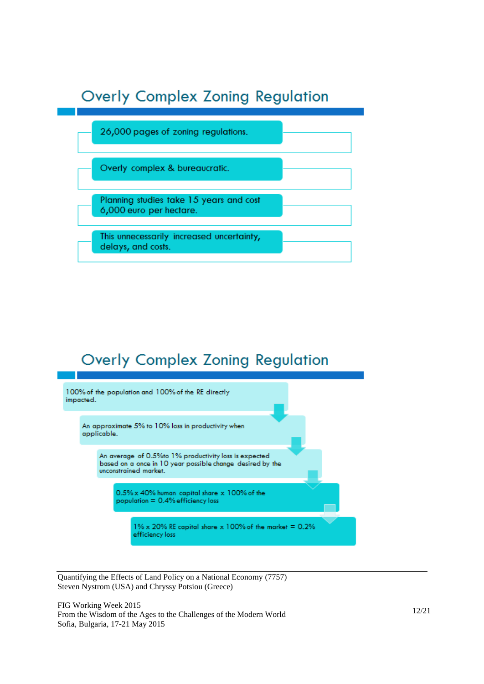# **Overly Complex Zoning Regulation**



## **Overly Complex Zoning Regulation**



Quantifying the Effects of Land Policy on a National Economy (7757 ) Steven Nystrom (USA) and Chryssy Potsiou (Greece)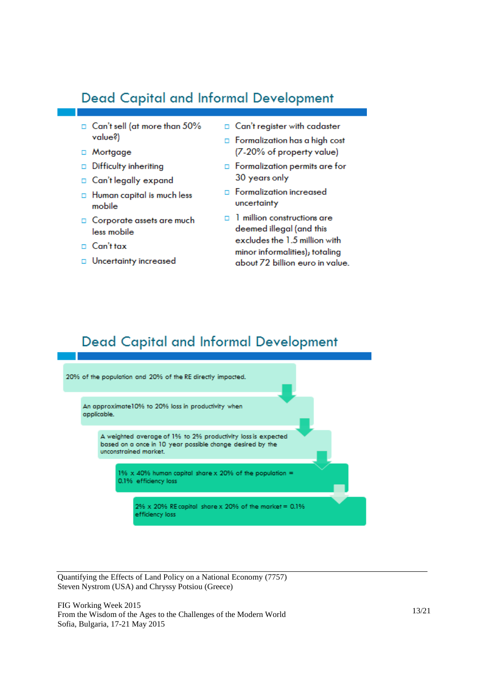### **Dead Capital and Informal Development**

- Can't sell (at more than 50% value?)
- $\Box$  Mortgage
- Difficulty inheriting
- □ Can't legally expand
- □ Human capital is much less mobile
- □ Corporate assets are much less mobile
- $\Box$  Can't tax
- **D** Uncertainty increased
- □ Can't register with cadaster
- $\Box$  Formalization has a high cost (7-20% of property value)
- $\Box$  Formalization permits are for 30 years only
- **D** Formalization increased uncertainty
- □ 1 million constructions are deemed illegal (and this excludes the 1.5 million with minor informalities); totaling about 72 billion euro in value.

### **Dead Capital and Informal Development**



Quantifying the Effects of Land Policy on a National Economy (7757 ) Steven Nystrom (USA) and Chryssy Potsiou (Greece)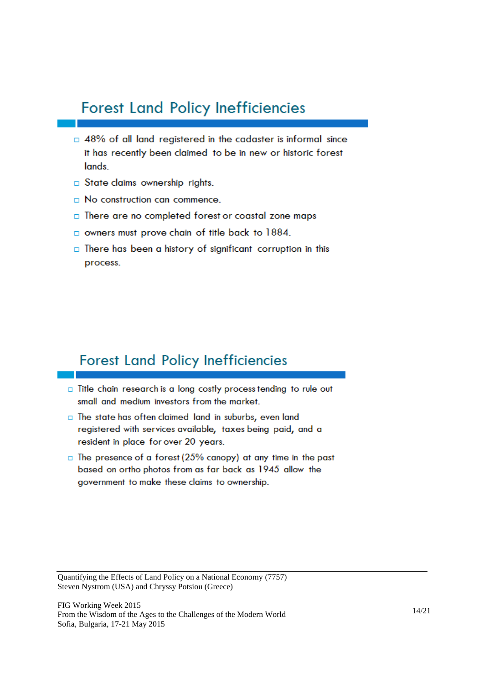## **Forest Land Policy Inefficiencies**

- $\Box$  48% of all land registered in the cadaster is informal since it has recently been claimed to be in new or historic forest lands
- $\Box$  State claims ownership rights.
- $\Box$  No construction can commence.
- $\Box$  There are no completed forest or coastal zone maps
- owners must prove chain of title back to 1884.
- $\Box$  There has been a history of significant corruption in this process.

### **Forest Land Policy Inefficiencies**

- Title chain research is a long costly process tending to rule out small and medium investors from the market.
- The state has often claimed land in suburbs, even land registered with services available, taxes being paid, and a resident in place for over 20 years.
- $\Box$  The presence of a forest (25% canopy) at any time in the past based on ortho photos from as far back as 1945 allow the government to make these claims to ownership.

Quantifying the Effects of Land Policy on a National Economy (7757 ) Steven Nystrom (USA) and Chryssy Potsiou (Greece)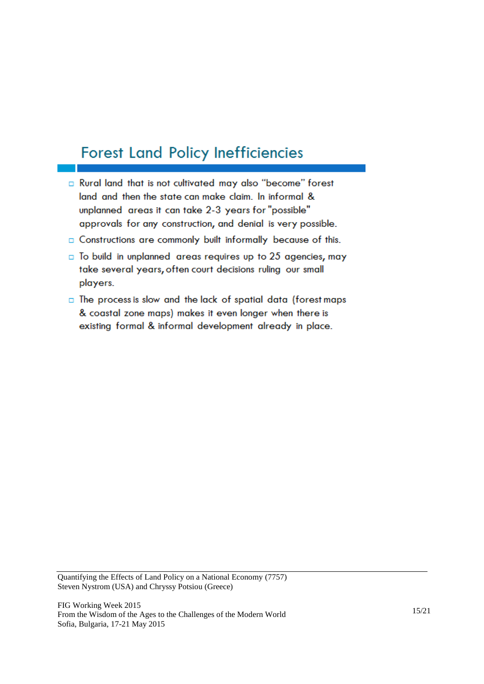# **Forest Land Policy Inefficiencies**

- a Rural land that is not cultivated may also "become" forest land and then the state can make claim. In informal & unplanned areas it can take 2-3 years for "possible" approvals for any construction, and denial is very possible.
- a Constructions are commonly built informally because of this.
- $\Box$  To build in unplanned areas requires up to 25 agencies, may take several years, often court decisions ruling our small players.
- $\Box$  The process is slow and the lack of spatial data (forest maps & coastal zone maps) makes it even longer when there is existing formal & informal development already in place.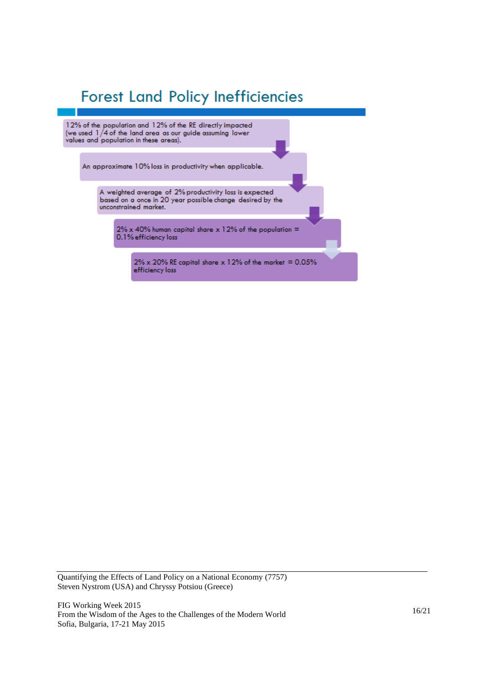# **Forest Land Policy Inefficiencies**

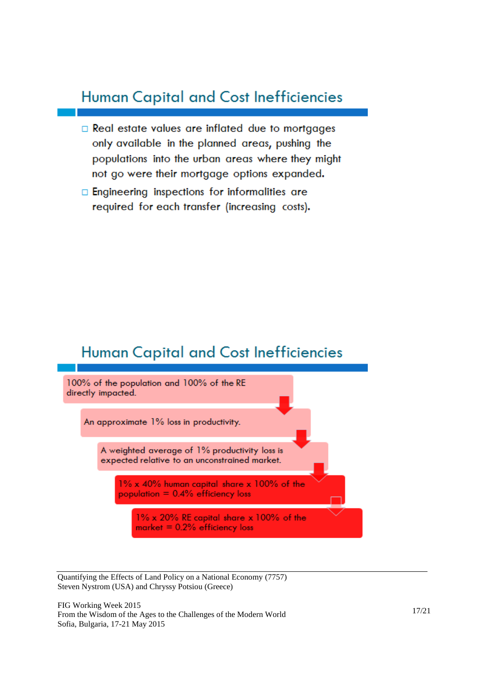## **Human Capital and Cost Inefficiencies**

- □ Real estate values are inflated due to mortgages only available in the planned areas, pushing the populations into the urban areas where they might not go were their mortgage options expanded.
- $\Box$  Engineering inspections for informalities are required for each transfer (increasing costs).

### **Human Capital and Cost Inefficiencies**



Quantifying the Effects of Land Policy on a National Economy (7757 ) Steven Nystrom (USA) and Chryssy Potsiou (Greece)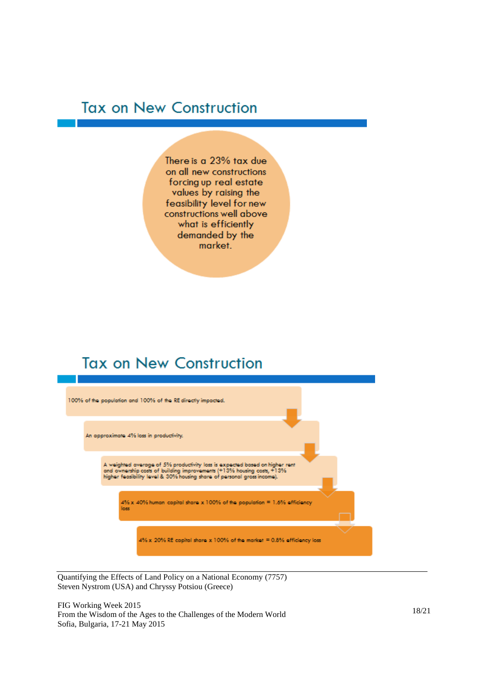## **Tax on New Construction**

There is a 23% tax due on all new constructions forcing up real estate values by raising the feasibility level for new constructions well above what is efficiently demanded by the market.

## **Tax on New Construction**



Quantifying the Effects of Land Policy on a National Economy (7757 ) Steven Nystrom (USA) and Chryssy Potsiou (Greece)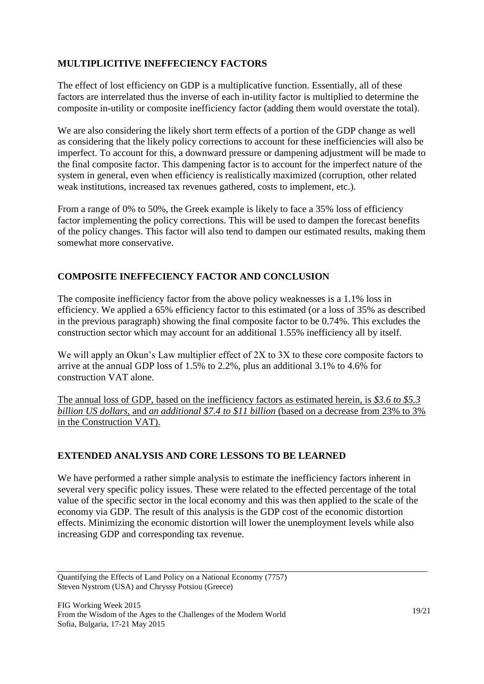### **MULTIPLICITIVE INEFFECIENCY FACTORS**

The effect of lost efficiency on GDP is a multiplicative function. Essentially, all of these factors are interrelated thus the inverse of each in-utility factor is multiplied to determine the composite in-utility or composite inefficiency factor (adding them would overstate the total).

We are also considering the likely short term effects of a portion of the GDP change as well as considering that the likely policy corrections to account for these inefficiencies will also be imperfect. To account for this, a downward pressure or dampening adjustment will be made to the final composite factor. This dampening factor is to account for the imperfect nature of the system in general, even when efficiency is realistically maximized (corruption, other related weak institutions, increased tax revenues gathered, costs to implement, etc.).

From a range of 0% to 50%, the Greek example is likely to face a 35% loss of efficiency factor implementing the policy corrections. This will be used to dampen the forecast benefits of the policy changes. This factor will also tend to dampen our estimated results, making them somewhat more conservative.

### **COMPOSITE INEFFECIENCY FACTOR AND CONCLUSION**

The composite inefficiency factor from the above policy weaknesses is a 1.1% loss in efficiency. We applied a 65% efficiency factor to this estimated (or a loss of 35% as described in the previous paragraph) showing the final composite factor to be 0.74%. This excludes the construction sector which may account for an additional 1.55% inefficiency all by itself.

We will apply an Okun's Law multiplier effect of 2X to 3X to these core composite factors to arrive at the annual GDP loss of 1.5% to 2.2%, plus an additional 3.1% to 4.6% for construction VAT alone.

The annual loss of GDP, based on the inefficiency factors as estimated herein, is *\$3.6 to \$5.3 billion US dollars*, and *an additional \$7.4 to \$11 billion* (based on a decrease from 23% to 3% in the Construction VAT).

### **EXTENDED ANALYSIS AND CORE LESSONS TO BE LEARNED**

We have performed a rather simple analysis to estimate the inefficiency factors inherent in several very specific policy issues. These were related to the effected percentage of the total value of the specific sector in the local economy and this was then applied to the scale of the economy via GDP. The result of this analysis is the GDP cost of the economic distortion effects. Minimizing the economic distortion will lower the unemployment levels while also increasing GDP and corresponding tax revenue.

Quantifying the Effects of Land Policy on a National Economy (7757) Steven Nystrom (USA) and Chryssy Potsiou (Greece)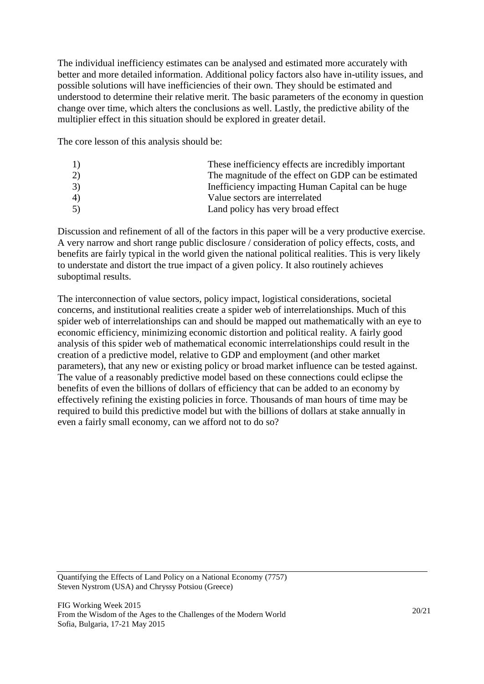The individual inefficiency estimates can be analysed and estimated more accurately with better and more detailed information. Additional policy factors also have in-utility issues, and possible solutions will have inefficiencies of their own. They should be estimated and understood to determine their relative merit. The basic parameters of the economy in question change over time, which alters the conclusions as well. Lastly, the predictive ability of the multiplier effect in this situation should be explored in greater detail.

The core lesson of this analysis should be:

| 1) | These inefficiency effects are incredibly important |
|----|-----------------------------------------------------|
| 2) | The magnitude of the effect on GDP can be estimated |
| 3) | Inefficiency impacting Human Capital can be huge    |
| 4) | Value sectors are interrelated                      |
| 5) | Land policy has very broad effect                   |

Discussion and refinement of all of the factors in this paper will be a very productive exercise. A very narrow and short range public disclosure / consideration of policy effects, costs, and benefits are fairly typical in the world given the national political realities. This is very likely to understate and distort the true impact of a given policy. It also routinely achieves suboptimal results.

The interconnection of value sectors, policy impact, logistical considerations, societal concerns, and institutional realities create a spider web of interrelationships. Much of this spider web of interrelationships can and should be mapped out mathematically with an eye to economic efficiency, minimizing economic distortion and political reality. A fairly good analysis of this spider web of mathematical economic interrelationships could result in the creation of a predictive model, relative to GDP and employment (and other market parameters), that any new or existing policy or broad market influence can be tested against. The value of a reasonably predictive model based on these connections could eclipse the benefits of even the billions of dollars of efficiency that can be added to an economy by effectively refining the existing policies in force. Thousands of man hours of time may be required to build this predictive model but with the billions of dollars at stake annually in even a fairly small economy, can we afford not to do so?